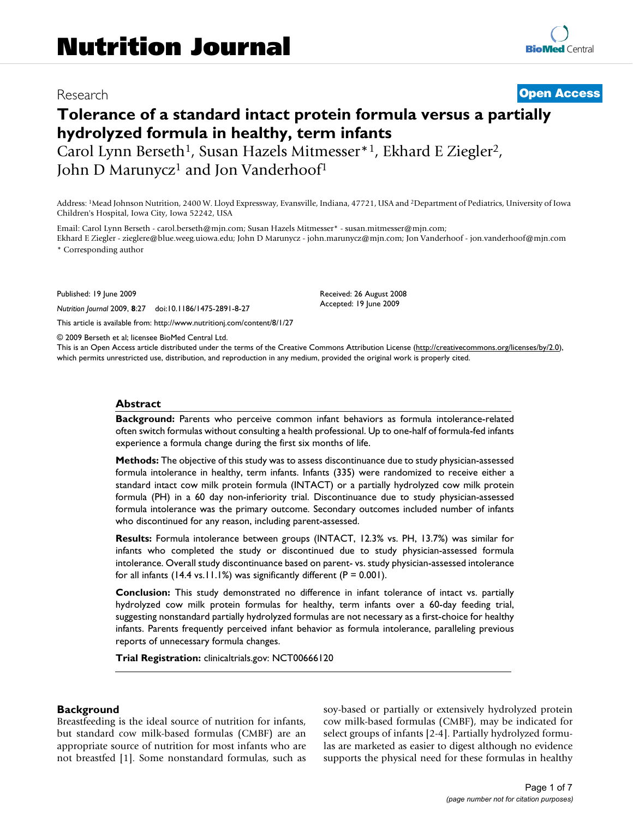# Research **[Open Access](http://www.biomedcentral.com/info/about/charter/)**

# **Tolerance of a standard intact protein formula versus a partially hydrolyzed formula in healthy, term infants**

Carol Lynn Berseth<sup>1</sup>, Susan Hazels Mitmesser<sup>\*1</sup>, Ekhard E Ziegler<sup>2</sup>, John D Marunycz<sup>1</sup> and Jon Vanderhoof<sup>1</sup>

Address: 1Mead Johnson Nutrition, 2400 W. Lloyd Expressway, Evansville, Indiana, 47721, USA and 2Department of Pediatrics, University of Iowa Children's Hospital, Iowa City, Iowa 52242, USA

Email: Carol Lynn Berseth - carol.berseth@mjn.com; Susan Hazels Mitmesser\* - susan.mitmesser@mjn.com;

Ekhard E Ziegler - zieglere@blue.weeg.uiowa.edu; John D Marunycz - john.marunycz@mjn.com; Jon Vanderhoof - jon.vanderhoof@mjn.com \* Corresponding author

> Received: 26 August 2008 Accepted: 19 June 2009

Published: 19 June 2009

*Nutrition Journal* 2009, **8**:27 doi:10.1186/1475-2891-8-27

[This article is available from: http://www.nutritionj.com/content/8/1/27](http://www.nutritionj.com/content/8/1/27)

© 2009 Berseth et al; licensee BioMed Central Ltd.

This is an Open Access article distributed under the terms of the Creative Commons Attribution License [\(http://creativecommons.org/licenses/by/2.0\)](http://creativecommons.org/licenses/by/2.0), which permits unrestricted use, distribution, and reproduction in any medium, provided the original work is properly cited.

#### **Abstract**

**Background:** Parents who perceive common infant behaviors as formula intolerance-related often switch formulas without consulting a health professional. Up to one-half of formula-fed infants experience a formula change during the first six months of life.

**Methods:** The objective of this study was to assess discontinuance due to study physician-assessed formula intolerance in healthy, term infants. Infants (335) were randomized to receive either a standard intact cow milk protein formula (INTACT) or a partially hydrolyzed cow milk protein formula (PH) in a 60 day non-inferiority trial. Discontinuance due to study physician-assessed formula intolerance was the primary outcome. Secondary outcomes included number of infants who discontinued for any reason, including parent-assessed.

**Results:** Formula intolerance between groups (INTACT, 12.3% vs. PH, 13.7%) was similar for infants who completed the study or discontinued due to study physician-assessed formula intolerance. Overall study discontinuance based on parent- vs. study physician-assessed intolerance for all infants (14.4 vs.11.1%) was significantly different ( $P = 0.001$ ).

**Conclusion:** This study demonstrated no difference in infant tolerance of intact vs. partially hydrolyzed cow milk protein formulas for healthy, term infants over a 60-day feeding trial, suggesting nonstandard partially hydrolyzed formulas are not necessary as a first-choice for healthy infants. Parents frequently perceived infant behavior as formula intolerance, paralleling previous reports of unnecessary formula changes.

**Trial Registration:** clinicaltrials.gov: NCT00666120

#### **Background**

Breastfeeding is the ideal source of nutrition for infants, but standard cow milk-based formulas (CMBF) are an appropriate source of nutrition for most infants who are not breastfed [1]. Some nonstandard formulas, such as soy-based or partially or extensively hydrolyzed protein cow milk-based formulas (CMBF), may be indicated for select groups of infants [\[2-](#page-6-0)[4](#page-6-1)]. Partially hydrolyzed formulas are marketed as easier to digest although no evidence supports the physical need for these formulas in healthy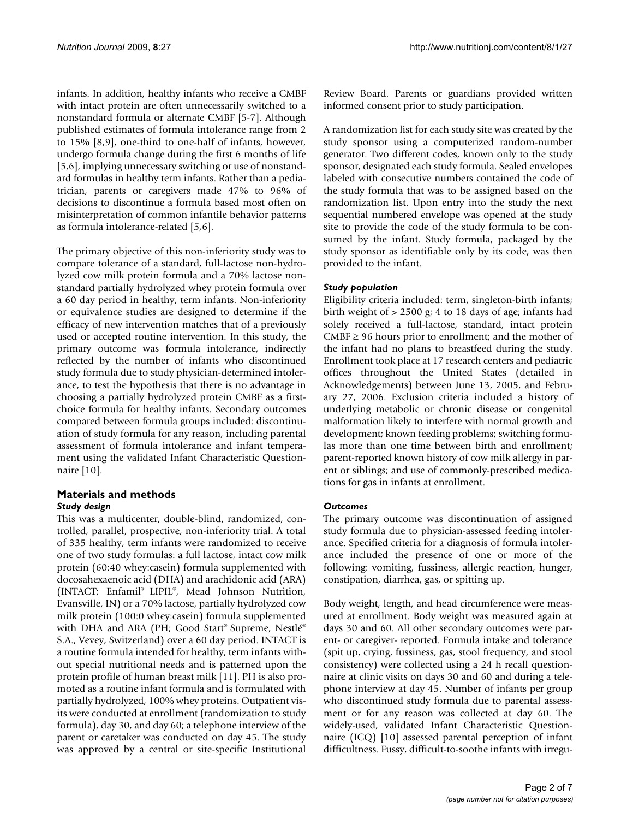infants. In addition, healthy infants who receive a CMBF with intact protein are often unnecessarily switched to a nonstandard formula or alternate CMBF [5-7]. Although published estimates of formula intolerance range from 2 to 15% [8,9], one-third to one-half of infants, however, undergo formula change during the first 6 months of life [5,6], implying unnecessary switching or use of nonstandard formulas in healthy term infants. Rather than a pediatrician, parents or caregivers made 47% to 96% of decisions to discontinue a formula based most often on misinterpretation of common infantile behavior patterns as formula intolerance-related [5,6].

The primary objective of this non-inferiority study was to compare tolerance of a standard, full-lactose non-hydrolyzed cow milk protein formula and a 70% lactose nonstandard partially hydrolyzed whey protein formula over a 60 day period in healthy, term infants. Non-inferiority or equivalence studies are designed to determine if the efficacy of new intervention matches that of a previously used or accepted routine intervention. In this study, the primary outcome was formula intolerance, indirectly reflected by the number of infants who discontinued study formula due to study physician-determined intolerance, to test the hypothesis that there is no advantage in choosing a partially hydrolyzed protein CMBF as a firstchoice formula for healthy infants. Secondary outcomes compared between formula groups included: discontinuation of study formula for any reason, including parental assessment of formula intolerance and infant temperament using the validated Infant Characteristic Questionnaire [10].

#### **Materials and methods** *Study design*

This was a multicenter, double-blind, randomized, controlled, parallel, prospective, non-inferiority trial. A total of 335 healthy, term infants were randomized to receive one of two study formulas: a full lactose, intact cow milk protein (60:40 whey:casein) formula supplemented with docosahexaenoic acid (DHA) and arachidonic acid (ARA) (INTACT; Enfamil® LIPIL®, Mead Johnson Nutrition, Evansville, IN) or a 70% lactose, partially hydrolyzed cow milk protein (100:0 whey:casein) formula supplemented with DHA and ARA (PH; Good Start® Supreme, Nestlé® S.A., Vevey, Switzerland) over a 60 day period. INTACT is a routine formula intended for healthy, term infants without special nutritional needs and is patterned upon the protein profile of human breast milk [11]. PH is also promoted as a routine infant formula and is formulated with partially hydrolyzed, 100% whey proteins. Outpatient visits were conducted at enrollment (randomization to study formula), day 30, and day 60; a telephone interview of the parent or caretaker was conducted on day 45. The study was approved by a central or site-specific Institutional

Review Board. Parents or guardians provided written informed consent prior to study participation.

A randomization list for each study site was created by the study sponsor using a computerized random-number generator. Two different codes, known only to the study sponsor, designated each study formula. Sealed envelopes labeled with consecutive numbers contained the code of the study formula that was to be assigned based on the randomization list. Upon entry into the study the next sequential numbered envelope was opened at the study site to provide the code of the study formula to be consumed by the infant. Study formula, packaged by the study sponsor as identifiable only by its code, was then provided to the infant.

## *Study population*

Eligibility criteria included: term, singleton-birth infants; birth weight of > 2500 g; 4 to 18 days of age; infants had solely received a full-lactose, standard, intact protein  $CMBF \geq 96$  hours prior to enrollment; and the mother of the infant had no plans to breastfeed during the study. Enrollment took place at 17 research centers and pediatric offices throughout the United States (detailed in Acknowledgements) between June 13, 2005, and February 27, 2006. Exclusion criteria included a history of underlying metabolic or chronic disease or congenital malformation likely to interfere with normal growth and development; known feeding problems; switching formulas more than one time between birth and enrollment; parent-reported known history of cow milk allergy in parent or siblings; and use of commonly-prescribed medications for gas in infants at enrollment.

## *Outcomes*

The primary outcome was discontinuation of assigned study formula due to physician-assessed feeding intolerance. Specified criteria for a diagnosis of formula intolerance included the presence of one or more of the following: vomiting, fussiness, allergic reaction, hunger, constipation, diarrhea, gas, or spitting up.

Body weight, length, and head circumference were measured at enrollment. Body weight was measured again at days 30 and 60. All other secondary outcomes were parent- or caregiver- reported. Formula intake and tolerance (spit up, crying, fussiness, gas, stool frequency, and stool consistency) were collected using a 24 h recall questionnaire at clinic visits on days 30 and 60 and during a telephone interview at day 45. Number of infants per group who discontinued study formula due to parental assessment or for any reason was collected at day 60. The widely-used, validated Infant Characteristic Questionnaire (ICQ) [10] assessed parental perception of infant difficultness. Fussy, difficult-to-soothe infants with irregu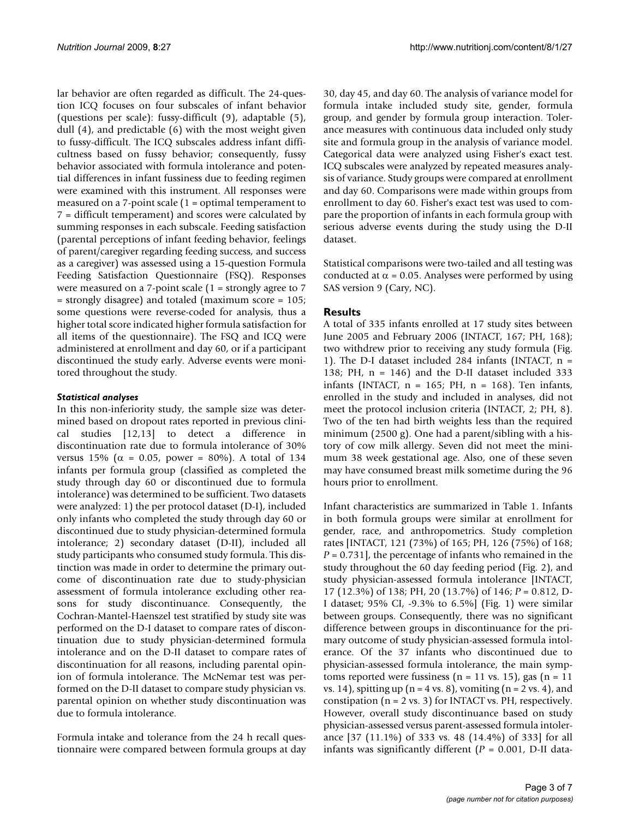lar behavior are often regarded as difficult. The 24-question ICQ focuses on four subscales of infant behavior (questions per scale): fussy-difficult (9), adaptable (5), dull (4), and predictable (6) with the most weight given to fussy-difficult. The ICQ subscales address infant difficultness based on fussy behavior; consequently, fussy behavior associated with formula intolerance and potential differences in infant fussiness due to feeding regimen were examined with this instrument. All responses were measured on a 7-point scale (1 = optimal temperament to 7 = difficult temperament) and scores were calculated by summing responses in each subscale. Feeding satisfaction (parental perceptions of infant feeding behavior, feelings of parent/caregiver regarding feeding success, and success as a caregiver) was assessed using a 15-question Formula Feeding Satisfaction Questionnaire (FSQ). Responses were measured on a 7-point scale (1 = strongly agree to 7 = strongly disagree) and totaled (maximum score = 105; some questions were reverse-coded for analysis, thus a higher total score indicated higher formula satisfaction for all items of the questionnaire). The FSQ and ICQ were administered at enrollment and day 60, or if a participant discontinued the study early. Adverse events were monitored throughout the study.

## *Statistical analyses*

In this non-inferiority study, the sample size was determined based on dropout rates reported in previous clinical studies [12,13] to detect a difference in discontinuation rate due to formula intolerance of 30% versus 15% ( $\alpha$  = 0.05, power = 80%). A total of 134 infants per formula group (classified as completed the study through day 60 or discontinued due to formula intolerance) was determined to be sufficient. Two datasets were analyzed: 1) the per protocol dataset (D-I), included only infants who completed the study through day 60 or discontinued due to study physician-determined formula intolerance; 2) secondary dataset (D-II), included all study participants who consumed study formula. This distinction was made in order to determine the primary outcome of discontinuation rate due to study-physician assessment of formula intolerance excluding other reasons for study discontinuance. Consequently, the Cochran-Mantel-Haenszel test stratified by study site was performed on the D-I dataset to compare rates of discontinuation due to study physician-determined formula intolerance and on the D-II dataset to compare rates of discontinuation for all reasons, including parental opinion of formula intolerance. The McNemar test was performed on the D-II dataset to compare study physician vs. parental opinion on whether study discontinuation was due to formula intolerance.

Formula intake and tolerance from the 24 h recall questionnaire were compared between formula groups at day 30, day 45, and day 60. The analysis of variance model for formula intake included study site, gender, formula group, and gender by formula group interaction. Tolerance measures with continuous data included only study site and formula group in the analysis of variance model. Categorical data were analyzed using Fisher's exact test. ICQ subscales were analyzed by repeated measures analysis of variance. Study groups were compared at enrollment and day 60. Comparisons were made within groups from enrollment to day 60. Fisher's exact test was used to compare the proportion of infants in each formula group with serious adverse events during the study using the D-II dataset.

Statistical comparisons were two-tailed and all testing was conducted at  $\alpha$  = 0.05. Analyses were performed by using SAS version 9 (Cary, NC).

# **Results**

A total of 335 infants enrolled at 17 study sites between June 2005 and February 2006 (INTACT, 167; PH, 168); two withdrew prior to receiving any study formula (Fig. 1). The D-I dataset included 284 infants (INTACT,  $n =$ 138; PH,  $n = 146$ ) and the D-II dataset included 333 infants (INTACT,  $n = 165$ ; PH,  $n = 168$ ). Ten infants, enrolled in the study and included in analyses, did not meet the protocol inclusion criteria (INTACT, 2; PH, 8). Two of the ten had birth weights less than the required minimum (2500 g). One had a parent/sibling with a history of cow milk allergy. Seven did not meet the minimum 38 week gestational age. Also, one of these seven may have consumed breast milk sometime during the 96 hours prior to enrollment.

Infant characteristics are summarized in Table 1. Infants in both formula groups were similar at enrollment for gender, race, and anthropometrics. Study completion rates [INTACT, 121 (73%) of 165; PH, 126 (75%) of 168; *P* = 0.731], the percentage of infants who remained in the study throughout the 60 day feeding period (Fig. 2), and study physician-assessed formula intolerance [INTACT, 17 (12.3%) of 138; PH, 20 (13.7%) of 146; *P* = 0.812, D-I dataset; 95% CI, -9.3% to 6.5%] (Fig. 1) were similar between groups. Consequently, there was no significant difference between groups in discontinuance for the primary outcome of study physician-assessed formula intolerance. Of the 37 infants who discontinued due to physician-assessed formula intolerance, the main symptoms reported were fussiness ( $n = 11$  vs. 15), gas ( $n = 11$ vs. 14), spitting up  $(n = 4 \text{ vs. } 8)$ , vomiting  $(n = 2 \text{ vs. } 4)$ , and constipation ( $n = 2$  vs. 3) for INTACT vs. PH, respectively. However, overall study discontinuance based on study physician-assessed versus parent-assessed formula intolerance [37 (11.1%) of 333 vs. 48 (14.4%) of 333] for all infants was significantly different (*P* = 0.001, D-II data-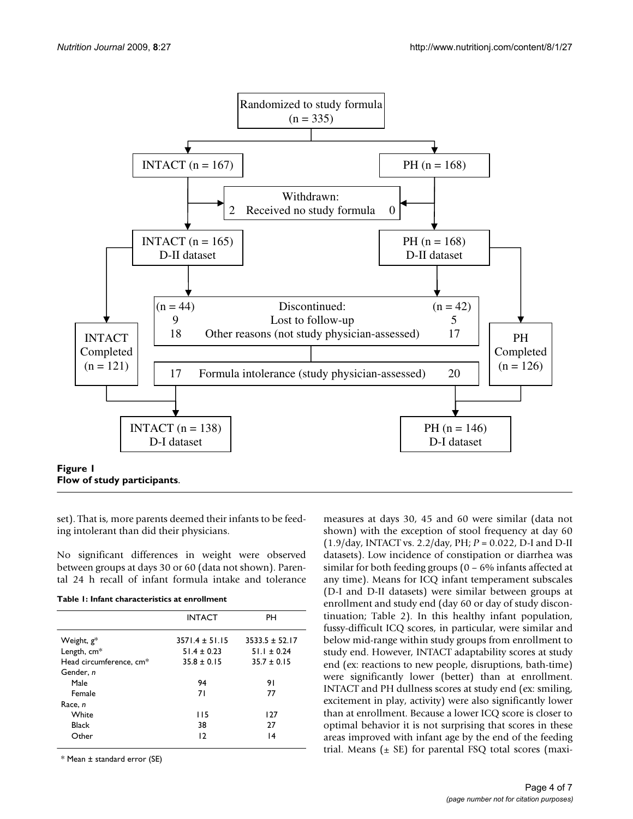

set). That is, more parents deemed their infants to be feeding intolerant than did their physicians.

No significant differences in weight were observed between groups at days 30 or 60 (data not shown). Parental 24 h recall of infant formula intake and tolerance

|  | Table 1: Infant characteristics at enrollment |  |
|--|-----------------------------------------------|--|
|  |                                               |  |

|                                     | <b>INTACT</b>                     | PH               |  |
|-------------------------------------|-----------------------------------|------------------|--|
| Weight, $g^*$                       | $3571.4 + 51.15$<br>$51.4 + 0.23$ | $3533.5 + 52.17$ |  |
| Length, cm*                         |                                   | $51.1 \pm 0.24$  |  |
| Head circumference, cm <sup>*</sup> | $35.8 \pm 0.15$                   | $35.7 \pm 0.15$  |  |
| Gender, n                           |                                   |                  |  |
| Male                                | 94                                | 91               |  |
| Female                              | 71                                | 77               |  |
| Race, n                             |                                   |                  |  |
| White                               | 115                               | 127              |  |
| Black                               | 38                                | 27               |  |
| Other                               | 12                                | 14               |  |
|                                     |                                   |                  |  |

\* Mean ± standard error (SE)

measures at days 30, 45 and 60 were similar (data not shown) with the exception of stool frequency at day 60 (1.9/day, INTACT vs. 2.2/day, PH; *P* = 0.022, D-I and D-II datasets). Low incidence of constipation or diarrhea was similar for both feeding groups (0 – 6% infants affected at any time). Means for ICQ infant temperament subscales (D-I and D-II datasets) were similar between groups at enrollment and study end (day 60 or day of study discontinuation; Table 2). In this healthy infant population, fussy-difficult ICQ scores, in particular, were similar and below mid-range within study groups from enrollment to study end. However, INTACT adaptability scores at study end (ex: reactions to new people, disruptions, bath-time) were significantly lower (better) than at enrollment. INTACT and PH dullness scores at study end (ex: smiling, excitement in play, activity) were also significantly lower than at enrollment. Because a lower ICQ score is closer to optimal behavior it is not surprising that scores in these areas improved with infant age by the end of the feeding trial. Means  $(± SE)$  for parental FSQ total scores (maxi-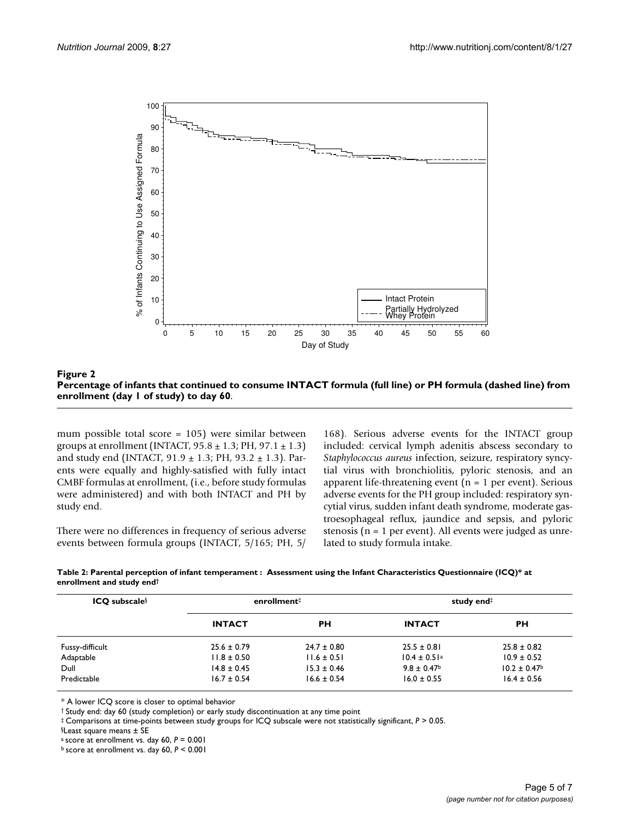

Percentage of infants that continued to consume INTACT formul 1 of study) to day 60 **Figure 2** a (full line) or PH formula (dashed line) from enrollment (day **Percentage of infants that continued to consume INTACT formula (full line) or PH formula (dashed line) from enrollment (day 1 of study) to day 60**.

mum possible total score = 105) were similar between groups at enrollment (INTACT,  $95.8 \pm 1.3$ ; PH,  $97.1 \pm 1.3$ ) and study end (INTACT,  $91.9 \pm 1.3$ ; PH,  $93.2 \pm 1.3$ ). Parents were equally and highly-satisfied with fully intact CMBF formulas at enrollment, (i.e., before study formulas were administered) and with both INTACT and PH by study end.

There were no differences in frequency of serious adverse events between formula groups (INTACT, 5/165; PH, 5/

168). Serious adverse events for the INTACT group included: cervical lymph adenitis abscess secondary to *Staphylococcus aureus* infection, seizure, respiratory syncytial virus with bronchiolitis, pyloric stenosis, and an apparent life-threatening event ( $n = 1$  per event). Serious adverse events for the PH group included: respiratory syncytial virus, sudden infant death syndrome, moderate gastroesophageal reflux, jaundice and sepsis, and pyloric stenosis ( $n = 1$  per event). All events were judged as unrelated to study formula intake.

|                           | Table 2: Parental perception of infant temperament $\colon$ Assessment using the Infant Characteristics Questionnaire (ICQ)* at |
|---------------------------|---------------------------------------------------------------------------------------------------------------------------------|
| enrollment and study end† |                                                                                                                                 |

| $ICQ$ subscale <sup>§</sup> | enrollment <sup>‡</sup> |                 | study end#                   |                              |
|-----------------------------|-------------------------|-----------------|------------------------------|------------------------------|
|                             | <b>INTACT</b>           | PН              | <b>INTACT</b>                | <b>PH</b>                    |
| Fussy-difficult             | $25.6 \pm 0.79$         | $24.7 \pm 0.80$ | $25.5 \pm 0.81$              | $25.8 \pm 0.82$              |
| Adaptable                   | $11.8 \pm 0.50$         | $11.6 \pm 0.51$ | $10.4 \pm 0.51$ <sup>a</sup> | $10.9 \pm 0.52$              |
| Dull                        | $14.8 \pm 0.45$         | $15.3 \pm 0.46$ | $9.8 \pm 0.47^{\circ}$       | $10.2 \pm 0.47$ <sup>b</sup> |
| Predictable                 | $16.7 \pm 0.54$         | $16.6 \pm 0.54$ | $16.0 \pm 0.55$              | $16.4 \pm 0.56$              |

\* A lower ICQ score is closer to optimal behavior

† Study end: day 60 (study completion) or early study discontinuation at any time point

‡ Comparisons at time-points between study groups for ICQ subscale were not statistically significant, *P* > 0.05.

§Least square means ± SE

a score at enrollment vs. day 60, *P* = 0.001

b score at enrollment vs. day 60, *P* < 0.001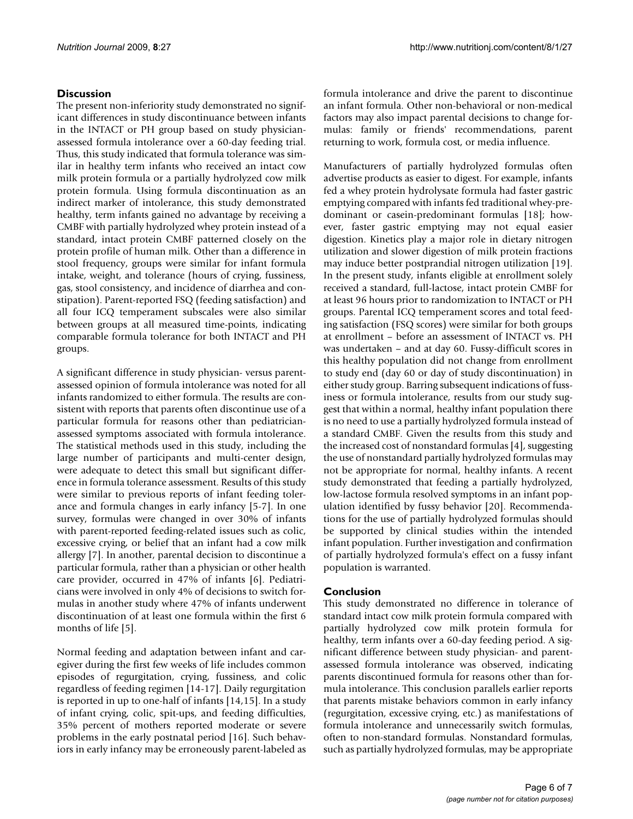# **Discussion**

The present non-inferiority study demonstrated no significant differences in study discontinuance between infants in the INTACT or PH group based on study physicianassessed formula intolerance over a 60-day feeding trial. Thus, this study indicated that formula tolerance was similar in healthy term infants who received an intact cow milk protein formula or a partially hydrolyzed cow milk protein formula. Using formula discontinuation as an indirect marker of intolerance, this study demonstrated healthy, term infants gained no advantage by receiving a CMBF with partially hydrolyzed whey protein instead of a standard, intact protein CMBF patterned closely on the protein profile of human milk. Other than a difference in stool frequency, groups were similar for infant formula intake, weight, and tolerance (hours of crying, fussiness, gas, stool consistency, and incidence of diarrhea and constipation). Parent-reported FSQ (feeding satisfaction) and all four ICQ temperament subscales were also similar between groups at all measured time-points, indicating comparable formula tolerance for both INTACT and PH groups.

A significant difference in study physician- versus parentassessed opinion of formula intolerance was noted for all infants randomized to either formula. The results are consistent with reports that parents often discontinue use of a particular formula for reasons other than pediatricianassessed symptoms associated with formula intolerance. The statistical methods used in this study, including the large number of participants and multi-center design, were adequate to detect this small but significant difference in formula tolerance assessment. Results of this study were similar to previous reports of infant feeding tolerance and formula changes in early infancy [5-7]. In one survey, formulas were changed in over 30% of infants with parent-reported feeding-related issues such as colic, excessive crying, or belief that an infant had a cow milk allergy [7]. In another, parental decision to discontinue a particular formula, rather than a physician or other health care provider, occurred in 47% of infants [6]. Pediatricians were involved in only 4% of decisions to switch formulas in another study where 47% of infants underwent discontinuation of at least one formula within the first 6 months of life [5].

Normal feeding and adaptation between infant and caregiver during the first few weeks of life includes common episodes of regurgitation, crying, fussiness, and colic regardless of feeding regimen [14-17]. Daily regurgitation is reported in up to one-half of infants [14,15]. In a study of infant crying, colic, spit-ups, and feeding difficulties, 35% percent of mothers reported moderate or severe problems in the early postnatal period [16]. Such behaviors in early infancy may be erroneously parent-labeled as formula intolerance and drive the parent to discontinue an infant formula. Other non-behavioral or non-medical factors may also impact parental decisions to change formulas: family or friends' recommendations, parent returning to work, formula cost, or media influence.

Manufacturers of partially hydrolyzed formulas often advertise products as easier to digest. For example, infants fed a whey protein hydrolysate formula had faster gastric emptying compared with infants fed traditional whey-predominant or casein-predominant formulas [18]; however, faster gastric emptying may not equal easier digestion. Kinetics play a major role in dietary nitrogen utilization and slower digestion of milk protein fractions may induce better postprandial nitrogen utilization [19]. In the present study, infants eligible at enrollment solely received a standard, full-lactose, intact protein CMBF for at least 96 hours prior to randomization to INTACT or PH groups. Parental ICQ temperament scores and total feeding satisfaction (FSQ scores) were similar for both groups at enrollment – before an assessment of INTACT vs. PH was undertaken – and at day 60. Fussy-difficult scores in this healthy population did not change from enrollment to study end (day 60 or day of study discontinuation) in either study group. Barring subsequent indications of fussiness or formula intolerance, results from our study suggest that within a normal, healthy infant population there is no need to use a partially hydrolyzed formula instead of a standard CMBF. Given the results from this study and the increased cost of nonstandard formulas [\[4\]](#page-6-1), suggesting the use of nonstandard partially hydrolyzed formulas may not be appropriate for normal, healthy infants. A recent study demonstrated that feeding a partially hydrolyzed, low-lactose formula resolved symptoms in an infant population identified by fussy behavior [20]. Recommendations for the use of partially hydrolyzed formulas should be supported by clinical studies within the intended infant population. Further investigation and confirmation of partially hydrolyzed formula's effect on a fussy infant population is warranted.

## **Conclusion**

This study demonstrated no difference in tolerance of standard intact cow milk protein formula compared with partially hydrolyzed cow milk protein formula for healthy, term infants over a 60-day feeding period. A significant difference between study physician- and parentassessed formula intolerance was observed, indicating parents discontinued formula for reasons other than formula intolerance. This conclusion parallels earlier reports that parents mistake behaviors common in early infancy (regurgitation, excessive crying, etc.) as manifestations of formula intolerance and unnecessarily switch formulas, often to non-standard formulas. Nonstandard formulas, such as partially hydrolyzed formulas, may be appropriate